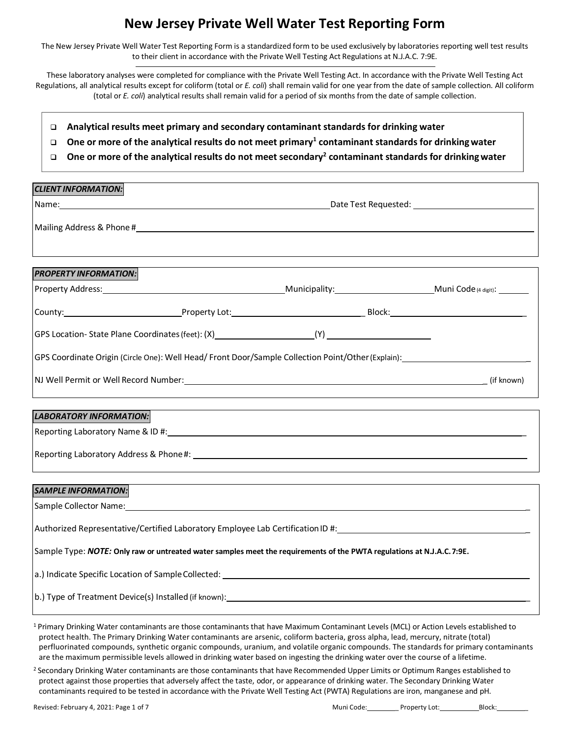The New Jersey Private Well Water Test Reporting Form is a standardized form to be used exclusively by laboratories reporting well test results to their client in accordance with the Private Well Testing Act Regulations at N.J.A.C. 7:9E.

These laboratory analyses were completed for compliance with the Private Well Testing Act. In accordance with the Private Well Testing Act Regulations, all analytical results except for coliform (total or *E. coli*) shall remain valid for one year from the date of sample collection. All coliform (total or *E. coli*) analytical results shall remain valid for a period of six months from the date of sample collection.

- **Analytical results meet primary and secondary contaminant standards for drinking water**
- **One or more of the analytical results do not meet primary1 contaminant standards for drinkingwater**
- **One or more of the analytical results do not meet secondary2 contaminant standards for drinkingwater**

| <b>CLIENT INFORMATION:</b>     |  |                                                                                                                                                                                                                                                                                           |                                                                                                    |  |  |
|--------------------------------|--|-------------------------------------------------------------------------------------------------------------------------------------------------------------------------------------------------------------------------------------------------------------------------------------------|----------------------------------------------------------------------------------------------------|--|--|
|                                |  |                                                                                                                                                                                                                                                                                           |                                                                                                    |  |  |
|                                |  |                                                                                                                                                                                                                                                                                           |                                                                                                    |  |  |
|                                |  |                                                                                                                                                                                                                                                                                           |                                                                                                    |  |  |
|                                |  |                                                                                                                                                                                                                                                                                           |                                                                                                    |  |  |
| <b>PROPERTY INFORMATION:</b>   |  |                                                                                                                                                                                                                                                                                           |                                                                                                    |  |  |
|                                |  |                                                                                                                                                                                                                                                                                           | Property Address: Municipality: Municipality: Municipality: Municipality: Municipality:            |  |  |
|                                |  |                                                                                                                                                                                                                                                                                           |                                                                                                    |  |  |
|                                |  |                                                                                                                                                                                                                                                                                           |                                                                                                    |  |  |
|                                |  |                                                                                                                                                                                                                                                                                           | GPS Coordinate Origin (Circle One): Well Head/ Front Door/Sample Collection Point/Other (Explain): |  |  |
|                                |  |                                                                                                                                                                                                                                                                                           |                                                                                                    |  |  |
|                                |  |                                                                                                                                                                                                                                                                                           |                                                                                                    |  |  |
| <b>LABORATORY INFORMATION:</b> |  |                                                                                                                                                                                                                                                                                           |                                                                                                    |  |  |
|                                |  |                                                                                                                                                                                                                                                                                           |                                                                                                    |  |  |
|                                |  |                                                                                                                                                                                                                                                                                           |                                                                                                    |  |  |
|                                |  |                                                                                                                                                                                                                                                                                           |                                                                                                    |  |  |
| <b>SAMPLE INFORMATION:</b>     |  |                                                                                                                                                                                                                                                                                           |                                                                                                    |  |  |
|                                |  |                                                                                                                                                                                                                                                                                           |                                                                                                    |  |  |
|                                |  |                                                                                                                                                                                                                                                                                           | Authorized Representative/Certified Laboratory Employee Lab Certification ID #:                    |  |  |
|                                |  | Sample Type: NOTE: Only raw or untreated water samples meet the requirements of the PWTA regulations at N.J.A.C.7:9E.                                                                                                                                                                     |                                                                                                    |  |  |
|                                |  |                                                                                                                                                                                                                                                                                           |                                                                                                    |  |  |
|                                |  |                                                                                                                                                                                                                                                                                           |                                                                                                    |  |  |
|                                |  | <sup>1</sup> Primary Drinking Water contaminants are those contaminants that have Maximum Contaminant Levels (MCL) or Action Levels established to<br>protect health. The Primary Drinking Water contaminants are arsenic, coliform bacteria, gross alpha, lead, mercury, nitrate (total) |                                                                                                    |  |  |

perfluorinated compounds, synthetic organic compounds, uranium, and volatile organic compounds. The standards for primary contaminants are the maximum permissible levels allowed in drinking water based on ingesting the drinking water over the course of a lifetime.

<sup>2</sup> Secondary Drinking Water contaminants are those contaminants that have Recommended Upper Limits or Optimum Ranges established to protect against those properties that adversely affect the taste, odor, or appearance of drinking water. The Secondary Drinking Water contaminants required to be tested in accordance with the Private Well Testing Act (PWTA) Regulations are iron, manganese and pH.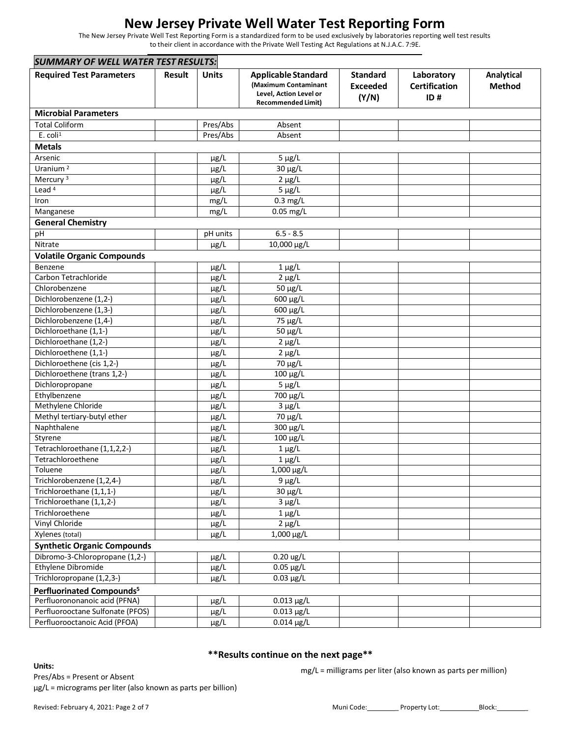The New Jersey Private Well Test Reporting Form is a standardized form to be used exclusively by laboratories reporting well test results to their client in accordance with the Private Well Testing Act Regulations at N.J.A.C. 7:9E.

| <b>SUMMARY OF WELL WATER TEST RESULTS:</b> |               |              |                                                                                                           |                                             |                                           |                             |
|--------------------------------------------|---------------|--------------|-----------------------------------------------------------------------------------------------------------|---------------------------------------------|-------------------------------------------|-----------------------------|
| <b>Required Test Parameters</b>            | <b>Result</b> | <b>Units</b> | <b>Applicable Standard</b><br>(Maximum Contaminant<br>Level, Action Level or<br><b>Recommended Limit)</b> | <b>Standard</b><br><b>Exceeded</b><br>(Y/N) | Laboratory<br><b>Certification</b><br>ID# | Analytical<br><b>Method</b> |
| <b>Microbial Parameters</b>                |               |              |                                                                                                           |                                             |                                           |                             |
| <b>Total Coliform</b>                      |               | Pres/Abs     | Absent                                                                                                    |                                             |                                           |                             |
| $E.$ coli <sup>1</sup>                     |               | Pres/Abs     | Absent                                                                                                    |                                             |                                           |                             |
| <b>Metals</b>                              |               |              |                                                                                                           |                                             |                                           |                             |
| Arsenic                                    |               | $\mu$ g/L    | $5 \mu g/L$                                                                                               |                                             |                                           |                             |
| Uranium <sup>2</sup>                       |               | µg/L         | 30 µg/L                                                                                                   |                                             |                                           |                             |
| Mercury <sup>3</sup>                       |               | $\mu$ g/L    | $2 \mu g/L$                                                                                               |                                             |                                           |                             |
| Lead <sup>4</sup>                          |               | µg/L         | $5 \mu g/L$                                                                                               |                                             |                                           |                             |
| Iron                                       |               | mg/L         | $0.3$ mg/L                                                                                                |                                             |                                           |                             |
| Manganese                                  |               | mg/L         | $0.05$ mg/L                                                                                               |                                             |                                           |                             |
| <b>General Chemistry</b>                   |               |              |                                                                                                           |                                             |                                           |                             |
| pH                                         |               | pH units     | $6.5 - 8.5$                                                                                               |                                             |                                           |                             |
| Nitrate                                    |               | $\mu$ g/L    | 10,000 µg/L                                                                                               |                                             |                                           |                             |
| <b>Volatile Organic Compounds</b>          |               |              |                                                                                                           |                                             |                                           |                             |
| Benzene                                    |               | µg/L         | $1 \mu g/L$                                                                                               |                                             |                                           |                             |
| Carbon Tetrachloride                       |               | µg/L         | $2 \mu g/L$                                                                                               |                                             |                                           |                             |
| Chlorobenzene                              |               | $\mu$ g/L    | 50 μg/L                                                                                                   |                                             |                                           |                             |
| Dichlorobenzene (1,2-)                     |               | µg/L         | 600 μg/L                                                                                                  |                                             |                                           |                             |
| Dichlorobenzene (1,3-)                     |               | µg/L         | 600 μg/L                                                                                                  |                                             |                                           |                             |
| Dichlorobenzene (1,4-)                     |               | µg/L         | 75 μg/L                                                                                                   |                                             |                                           |                             |
| Dichloroethane (1,1-)                      |               | µg/L         | 50 μg/L                                                                                                   |                                             |                                           |                             |
| Dichloroethane (1,2-)                      |               | $\mu$ g/L    | $2 \mu g/L$                                                                                               |                                             |                                           |                             |
| Dichloroethene (1,1-)                      |               | $\mu$ g/L    | $2 \mu g/L$                                                                                               |                                             |                                           |                             |
| Dichloroethene (cis 1,2-)                  |               | µg/L         | 70 μg/L                                                                                                   |                                             |                                           |                             |
| Dichloroethene (trans 1,2-)                |               | µg/L         | $100 \mu g/L$                                                                                             |                                             |                                           |                             |
| Dichloropropane                            |               | $\mu$ g/L    | $5 \mu g/L$                                                                                               |                                             |                                           |                             |
| Ethylbenzene                               |               | µg/L         | 700 μg/L                                                                                                  |                                             |                                           |                             |
| Methylene Chloride                         |               | µg/L         | $3 \mu g/L$                                                                                               |                                             |                                           |                             |
| Methyl tertiary-butyl ether                |               | $\mu$ g/L    | 70 μg/L                                                                                                   |                                             |                                           |                             |
| Naphthalene                                |               | µg/L         | 300 µg/L                                                                                                  |                                             |                                           |                             |
| Styrene                                    |               | µg/L         | $100 \mu g/L$                                                                                             |                                             |                                           |                             |
| Tetrachloroethane (1,1,2,2-)               |               | µg/L         | $1 \mu g/L$                                                                                               |                                             |                                           |                             |
| Tetrachloroethene                          |               | $\mu$ g/L    | $1 \mu g/L$                                                                                               |                                             |                                           |                             |
| Toluene                                    |               | $\mu$ g/L    | 1,000 µg/L                                                                                                |                                             |                                           |                             |
| Trichlorobenzene (1,2,4-)                  |               | µg/L         | $9 \mu g/L$                                                                                               |                                             |                                           |                             |
| Trichloroethane (1,1,1-)                   |               | µg/L         | 30 µg/L                                                                                                   |                                             |                                           |                             |
| Trichloroethane (1,1,2-)                   |               | µg/L         | $3 \mu g/L$                                                                                               |                                             |                                           |                             |
| Trichloroethene                            |               | µg/L         | $1 \mu g/L$                                                                                               |                                             |                                           |                             |
| Vinyl Chloride                             |               | µg/L         | $2 \mu g/L$                                                                                               |                                             |                                           |                             |
| Xylenes (total)                            |               | µg/L         | 1,000 µg/L                                                                                                |                                             |                                           |                             |
| <b>Synthetic Organic Compounds</b>         |               |              |                                                                                                           |                                             |                                           |                             |
| Dibromo-3-Chloropropane (1,2-)             |               | μg/L         | $0.20 \text{ ug/L}$                                                                                       |                                             |                                           |                             |
| Ethylene Dibromide                         |               | µg/L         | $0.05 \mu g/L$                                                                                            |                                             |                                           |                             |
| Trichloropropane (1,2,3-)                  |               | µg/L         | $0.03 \mu g/L$                                                                                            |                                             |                                           |                             |
| Perfluorinated Compounds <sup>5</sup>      |               |              |                                                                                                           |                                             |                                           |                             |
| Perfluorononanoic acid (PFNA)              |               | µg/L         | $0.013 \,\mu g/L$                                                                                         |                                             |                                           |                             |
| Perfluorooctane Sulfonate (PFOS)           |               | µg/L         | $0.013 \,\mathrm{\mu g/L}$                                                                                |                                             |                                           |                             |
| Perfluorooctanoic Acid (PFOA)              |               | µg/L         | $0.014 \,\mathrm{\mu g/L}$                                                                                |                                             |                                           |                             |

### **\*\*Results continue on the next page\*\***

#### **Units:**

Pres/Abs = Present or Absent µg/L = micrograms per liter (also known as parts per billion) mg/L = milligrams per liter (also known as parts per million)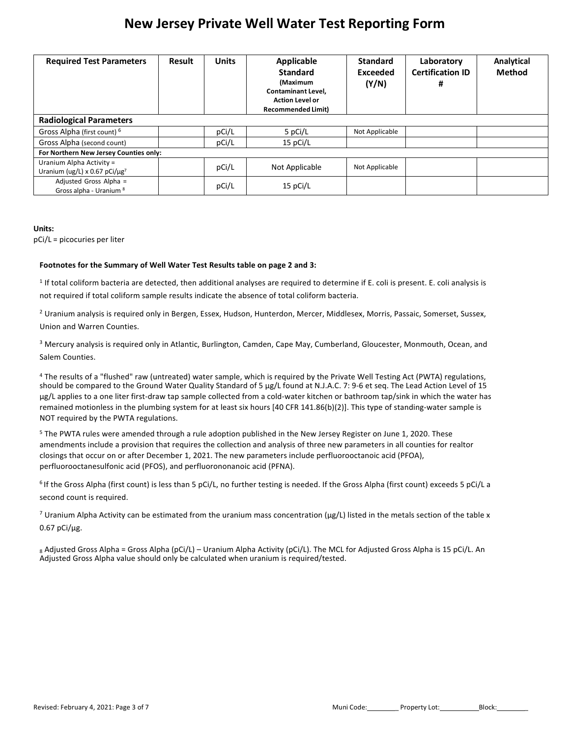| <b>Required Test Parameters</b>                                             | <b>Result</b> | <b>Units</b> | Applicable<br><b>Standard</b><br>(Maximum<br><b>Contaminant Level,</b><br><b>Action Level or</b><br><b>Recommended Limit)</b> | <b>Standard</b><br>Exceeded<br>(Y/N) | Laboratory<br><b>Certification ID</b><br># | Analytical<br>Method |
|-----------------------------------------------------------------------------|---------------|--------------|-------------------------------------------------------------------------------------------------------------------------------|--------------------------------------|--------------------------------------------|----------------------|
| <b>Radiological Parameters</b>                                              |               |              |                                                                                                                               |                                      |                                            |                      |
| Gross Alpha (first count) <sup>6</sup>                                      |               | pCi/L        | 5 pCi/L                                                                                                                       | Not Applicable                       |                                            |                      |
| Gross Alpha (second count)                                                  |               | pCi/L        | 15 pCi/L                                                                                                                      |                                      |                                            |                      |
| For Northern New Jersey Counties only:                                      |               |              |                                                                                                                               |                                      |                                            |                      |
| Uranium Alpha Activity =<br>Uranium (ug/L) x 0.67 pCi/ $\mu$ g <sup>7</sup> |               | pCi/L        | Not Applicable                                                                                                                | Not Applicable                       |                                            |                      |
| Adjusted Gross Alpha =<br>Gross alpha - Uranium 8                           |               | pCi/L        | 15 pCi/L                                                                                                                      |                                      |                                            |                      |

#### **Units:**

pCi/L = picocuries per liter

#### **Footnotes for the Summary of Well Water Test Results table on page 2 and 3:**

<sup>1</sup> If total coliform bacteria are detected, then additional analyses are required to determine if E. coli is present. E. coli analysis is not required if total coliform sample results indicate the absence of total coliform bacteria.

<sup>2</sup> Uranium analysis is required only in Bergen, Essex, Hudson, Hunterdon, Mercer, Middlesex, Morris, Passaic, Somerset, Sussex, Union and Warren Counties.

<sup>3</sup> Mercury analysis is required only in Atlantic, Burlington, Camden, Cape May, Cumberland, Gloucester, Monmouth, Ocean, and Salem Counties.

<sup>4</sup> The results of a "flushed" raw (untreated) water sample, which is required by the Private Well Testing Act (PWTA) regulations, should be compared to the Ground Water Quality Standard of 5 μg/L found at N.J.A.C. 7: 9-6 et seq. The Lead Action Level of 15 μg/L applies to a one liter first-draw tap sample collected from a cold-water kitchen or bathroom tap/sink in which the water has remained motionless in the plumbing system for at least six hours [40 CFR 141.86(b)(2)]. This type of standing-water sample is NOT required by the PWTA regulations.

<sup>5</sup> The PWTA rules were amended through a rule adoption published in the New Jersey Register on June 1, 2020. These amendments include a provision that requires the collection and analysis of three new parameters in all counties for realtor closings that occur on or after December 1, 2021. The new parameters include perfluorooctanoic acid (PFOA), perfluorooctanesulfonic acid (PFOS), and perfluorononanoic acid (PFNA).

<sup>6</sup> If the Gross Alpha (first count) is less than 5 pCi/L, no further testing is needed. If the Gross Alpha (first count) exceeds 5 pCi/L a second count is required.

<sup>7</sup> Uranium Alpha Activity can be estimated from the uranium mass concentration ( $\mu$ g/L) listed in the metals section of the table x 0.67 pCi/μg.

8 Adjusted Gross Alpha = Gross Alpha (pCi/L) – Uranium Alpha Activity (pCi/L). The MCL for Adjusted Gross Alpha is 15 pCi/L. An Adjusted Gross Alpha value should only be calculated when uranium is required/tested.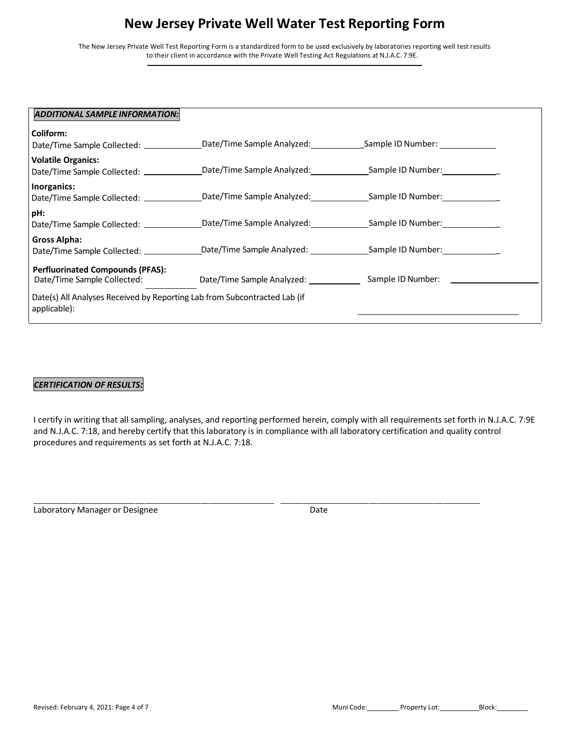The New Jersey Private Well Test Reporting Form is a standardized form to be used exclusively by laboratories reporting well test results to their client in accordance with the Private Well Testing Act Regulations at N.J.A.C. 7:9E.

| ADDITIONAL SAMPLE INFORMATION:                                                                                                                    |  |
|---------------------------------------------------------------------------------------------------------------------------------------------------|--|
| Coliform:                                                                                                                                         |  |
| Date/Time Sample Collected: _________________Date/Time Sample Analyzed: _____________Sample ID Number: ____________                               |  |
| <b>Volatile Organics:</b><br>Date/Time Sample Collected: _________________Date/Time Sample Analyzed: ______________Sample ID Number: ____________ |  |
| Inorganics:<br>Date/Time Sample Collected: _______________Date/Time Sample Analyzed: ______________Sample ID Number: ___________                  |  |
| pH:<br>Date/Time Sample Collected: ________________Date/Time Sample Analyzed: _______________Sample ID Number: ____________                       |  |
| Gross Alpha:<br>Date/Time Sample Collected: _________________Date/Time Sample Analyzed: ______________Sample ID Number: ____________              |  |
| <b>Perfluorinated Compounds (PFAS):</b><br>Date/Time Sample Collected:                                                                            |  |
| Date(s) All Analyses Received by Reporting Lab from Subcontracted Lab (if<br>applicable):                                                         |  |

### *CERTIFICATION OF RESULTS:*

I certify in writing that all sampling, analyses, and reporting performed herein, comply with all requirements set forth in N.J.A.C. 7:9E and N.J.A.C. 7:18, and hereby certify that this laboratory is in compliance with all laboratory certification and quality control procedures and requirements as set forth at N.J.A.C. 7:18.

Laboratory Manager or Designee Date Date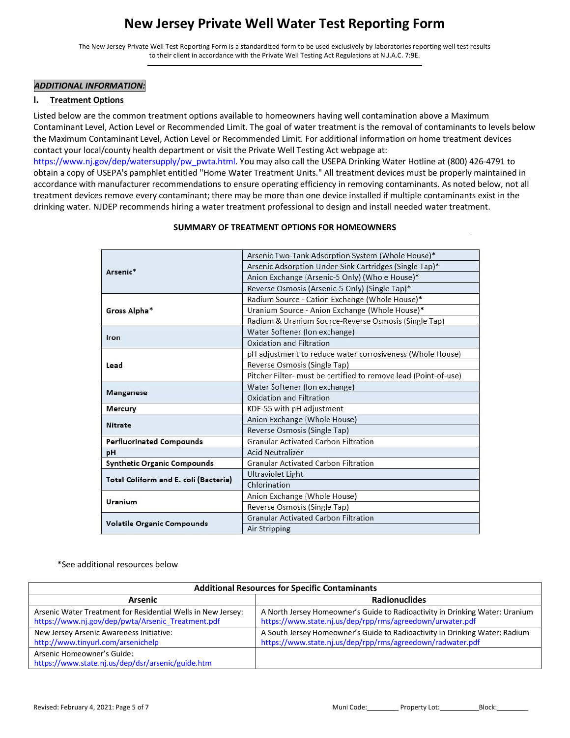The New Jersey Private Well Test Reporting Form is a standardized form to be used exclusively by laboratories reporting well test results to their client in accordance with the Private Well Testing Act Regulations at N.J.A.C. 7:9E.

#### *ADDITIONAL INFORMATION:*

#### **I. Treatment Options**

Listed below are the common treatment options available to homeowners having well contamination above a Maximum Contaminant Level, Action Level or Recommended Limit. The goal of water treatment is the removal of contaminants to levels below the Maximum Contaminant Level, Action Level or Recommended Limit. For additional information on home treatment devices contact your local/county health department or visit the Private Well Testing Act webpage at:

[https://www.nj.gov/dep/watersupply/pw\\_pwta.html. Y](https://www.nj.gov/dep/watersupply/pw_pwta.html)ou may also call the USEPA Drinking Water Hotline at (800) 426-4791 to obtain a copy of USEPA's pamphlet entitled "Home Water Treatment Units." All treatment devices must be properly maintained in accordance with manufacturer recommendations to ensure operating efficiency in removing contaminants. As noted below, not all treatment devices remove every contaminant; there may be more than one device installed if multiple contaminants exist in the drinking water. NJDEP recommends hiring a water treatment professional to design and install needed water treatment.

|                                       | Arsenic Two-Tank Adsorption System (Whole House)*               |  |  |
|---------------------------------------|-----------------------------------------------------------------|--|--|
| Arsenic*                              | Arsenic Adsorption Under-Sink Cartridges (Single Tap)*          |  |  |
|                                       | Anion Exchange (Arsenic-5 Only) (Whole House)*                  |  |  |
|                                       | Reverse Osmosis (Arsenic-5 Only) (Single Tap)*                  |  |  |
|                                       | Radium Source - Cation Exchange (Whole House)*                  |  |  |
| Gross Alpha*                          | Uranium Source - Anion Exchange (Whole House)*                  |  |  |
|                                       | Radium & Uranium Source-Reverse Osmosis (Single Tap)            |  |  |
|                                       | Water Softener (Ion exchange)                                   |  |  |
| Iron                                  | Oxidation and Filtration                                        |  |  |
|                                       | pH adjustment to reduce water corrosiveness (Whole House)       |  |  |
| Lead                                  | Reverse Osmosis (Single Tap)                                    |  |  |
|                                       | Pitcher Filter- must be certified to remove lead (Point-of-use) |  |  |
|                                       | Water Softener (Ion exchange)                                   |  |  |
| <b>Manganese</b>                      | Oxidation and Filtration                                        |  |  |
| Mercury                               | KDF-55 with pH adjustment                                       |  |  |
| <b>Nitrate</b>                        | Anion Exchange (Whole House)                                    |  |  |
|                                       | Reverse Osmosis (Single Tap)                                    |  |  |
| <b>Perfluorinated Compounds</b>       | <b>Granular Activated Carbon Filtration</b>                     |  |  |
| pH                                    | <b>Acid Neutralizer</b>                                         |  |  |
| <b>Synthetic Organic Compounds</b>    | <b>Granular Activated Carbon Filtration</b>                     |  |  |
| Total Coliform and E. coli (Bacteria) | <b>Ultraviolet Light</b>                                        |  |  |
|                                       | Chlorination                                                    |  |  |
| Uranium                               | Anion Exchange (Whole House)                                    |  |  |
|                                       | Reverse Osmosis (Single Tap)                                    |  |  |
| <b>Volatile Organic Compounds</b>     | <b>Granular Activated Carbon Filtration</b>                     |  |  |
|                                       | Air Stripping                                                   |  |  |

#### **SUMMARY OF TREATMENT OPTIONS FOR HOMEOWNERS**

\*See additional resources below

| <b>Additional Resources for Specific Contaminants</b>                                                             |                                                                                                                                           |  |  |
|-------------------------------------------------------------------------------------------------------------------|-------------------------------------------------------------------------------------------------------------------------------------------|--|--|
| <b>Arsenic</b>                                                                                                    | <b>Radionuclides</b>                                                                                                                      |  |  |
| Arsenic Water Treatment for Residential Wells in New Jersey:<br>https://www.nj.gov/dep/pwta/Arsenic_Treatment.pdf | A North Jersey Homeowner's Guide to Radioactivity in Drinking Water: Uranium<br>https://www.state.nj.us/dep/rpp/rms/agreedown/urwater.pdf |  |  |
| New Jersey Arsenic Awareness Initiative:                                                                          | A South Jersey Homeowner's Guide to Radioactivity in Drinking Water: Radium                                                               |  |  |
| http://www.tinyurl.com/arsenichelp                                                                                | https://www.state.nj.us/dep/rpp/rms/agreedown/radwater.pdf                                                                                |  |  |
| Arsenic Homeowner's Guide:                                                                                        |                                                                                                                                           |  |  |
| https://www.state.nj.us/dep/dsr/arsenic/guide.htm                                                                 |                                                                                                                                           |  |  |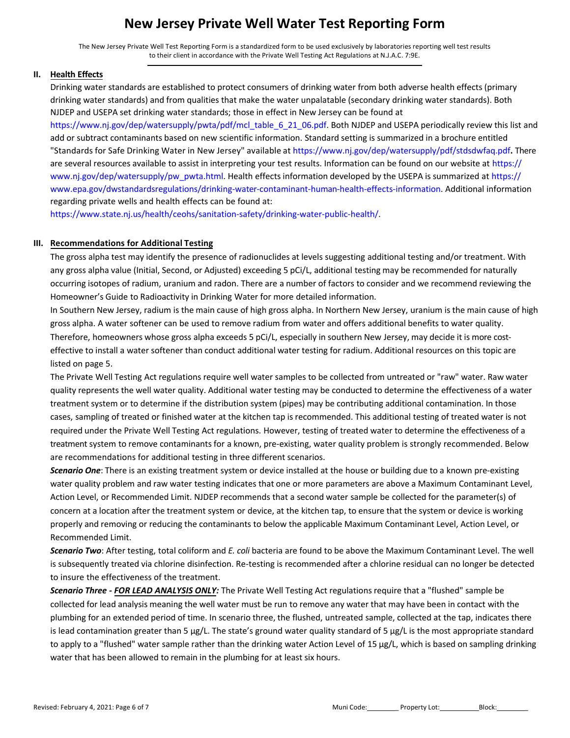The New Jersey Private Well Test Reporting Form is a standardized form to be used exclusively by laboratories reporting well test results to their client in accordance with the Private Well Testing Act Regulations at N.J.A.C. 7:9E.

#### **II. Health Effects**

Drinking water standards are established to protect consumers of drinking water from both adverse health effects (primary drinking water standards) and from qualities that make the water unpalatable (secondary drinking water standards). Both NJDEP and USEPA set drinking water standards; those in effect in New Jersey can be found at

[https://www.nj.gov/dep/watersupply/pwta/pdf/mcl\\_table\\_6\\_21\\_06.pdf. B](https://www.nj.gov/dep/watersupply/pwta/pdf/mcl_table_6_21_06.pdf)oth NJDEP and USEPA periodically review this list and add or subtract contaminants based on new scientific information. Standard setting is summarized in a brochure entitled "Standards for Safe Drinking Water in New Jersey" available at <https://www.nj.gov/dep/watersupply/pdf/stdsdwfaq.pdf>**.** There are several resources available to assist in interpreting your test results. Information can be found on our website at https:// [www.nj.gov/dep/watersupply/pw\\_pwta.html. Health e](https://www.nj.gov/dep/watersupply/pw_pwta.html)ffects information developed by the USEPA is summarized at https:// [www.epa.gov/dwstandardsregulations/drinking-water-contaminant-human-health-effects-information.](https://www.epa.gov/dwstandardsregulations/drinking-water-contaminant-human-health-effects-information) Additional information regarding private wells and health effects can be found at:

https://www.state.nj.us/health/ceohs/sanitation-safety/drinking-water-public-health/.

### **III. Recommendations for Additional Testing**

The gross alpha test may identify the presence of radionuclides at levels suggesting additional testing and/or treatment. With any gross alpha value (Initial, Second, or Adjusted) exceeding 5 pCi/L, additional testing may be recommended for naturally occurring isotopes of radium, uranium and radon. There are a number of factors to consider and we recommend reviewing the Homeowner's Guide to Radioactivity in Drinking Water for more detailed information.

In Southern New Jersey, radium is the main cause of high gross alpha. In Northern New Jersey, uranium is the main cause of high gross alpha. A water softener can be used to remove radium from water and offers additional benefits to water quality. Therefore, homeowners whose gross alpha exceeds 5 pCi/L, especially in southern New Jersey, may decide it is more costeffective to install a water softener than conduct additional water testing for radium. Additional resources on this topic are listed on page 5.

The Private Well Testing Act regulations require well water samples to be collected from untreated or "raw" water. Raw water quality represents the well water quality. Additional water testing may be conducted to determine the effectiveness of a water treatment system or to determine if the distribution system (pipes) may be contributing additional contamination. In those cases, sampling of treated or finished water at the kitchen tap is recommended. This additional testing of treated water is not required under the Private Well Testing Act regulations. However, testing of treated water to determine the effectiveness of a treatment system to remove contaminants for a known, pre-existing, water quality problem is strongly recommended. Below are recommendations for additional testing in three different scenarios.

*Scenario One*: There is an existing treatment system or device installed at the house or building due to a known pre-existing water quality problem and raw water testing indicates that one or more parameters are above a Maximum Contaminant Level, Action Level, or Recommended Limit. NJDEP recommends that a second water sample be collected for the parameter(s) of concern at a location after the treatment system or device, at the kitchen tap, to ensure that the system or device is working properly and removing or reducing the contaminants to below the applicable Maximum Contaminant Level, Action Level, or Recommended Limit.

*Scenario Two*: After testing, total coliform and *E. coli* bacteria are found to be above the Maximum Contaminant Level. The well is subsequently treated via chlorine disinfection. Re-testing is recommended after a chlorine residual can no longer be detected to insure the effectiveness of the treatment.

*Scenario Three - FOR LEAD ANALYSIS ONLY:* The Private Well Testing Act regulations require that a "flushed" sample be collected for lead analysis meaning the well water must be run to remove any water that may have been in contact with the plumbing for an extended period of time. In scenario three, the flushed, untreated sample, collected at the tap, indicates there is lead contamination greater than 5 µg/L. The state's ground water quality standard of 5 µg/L is the most appropriate standard to apply to a "flushed" water sample rather than the drinking water Action Level of 15 µg/L, which is based on sampling drinking water that has been allowed to remain in the plumbing for at least six hours.